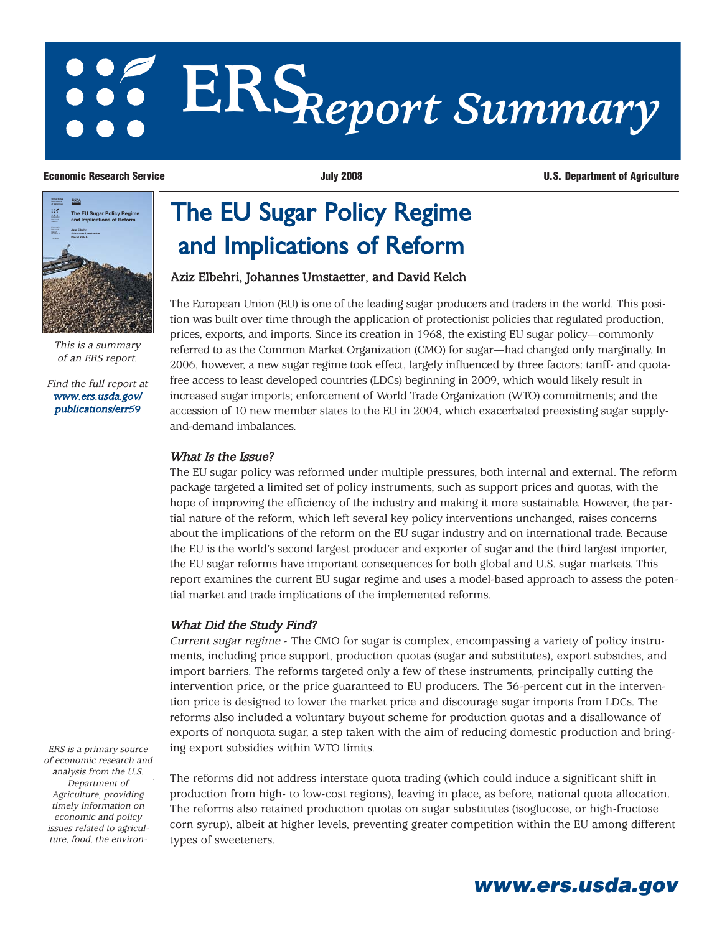# **ERS***Report Summary*

**United States Department Aziz Elbehri Johannes Umstaetter David Kelch The EU Sugar Policy Regime and Implications of Reform**

> This is a summary of an ERS report.

[Find the full report at](/publications/err59) www.ers.usda.gov/ publications/err59

ERS is a primary source of economic research and analysis from the U.S. Department of Agriculture, providing timely information on economic and policy issues related to agriculture, food, the environ-

#### **Economic Research Service July 2008 U.S. Department of Agriculture**

## The EU Sugar Policy Regime and Implications of Reform

#### Aziz Elbehri, Johannes Umstaetter, and David Kelch

The European Union (EU) is one of the leading sugar producers and traders in the world. This position was built over time through the application of protectionist policies that regulated production, prices, exports, and imports. Since its creation in 1968, the existing EU sugar policy—commonly referred to as the Common Market Organization (CMO) for sugar—had changed only marginally. In 2006, however, a new sugar regime took effect, largely influenced by three factors: tariff- and quotafree access to least developed countries (LDCs) beginning in 2009, which would likely result in increased sugar imports; enforcement of World Trade Organization (WTO) commitments; and the accession of 10 new member states to the EU in 2004, which exacerbated preexisting sugar supplyand-demand imbalances.

#### What Is the Issue?

The EU sugar policy was reformed under multiple pressures, both internal and external. The reform package targeted a limited set of policy instruments, such as support prices and quotas, with the hope of improving the efficiency of the industry and making it more sustainable. However, the partial nature of the reform, which left several key policy interventions unchanged, raises concerns about the implications of the reform on the EU sugar industry and on international trade. Because the EU is the world's second largest producer and exporter of sugar and the third largest importer, the EU sugar reforms have important consequences for both global and U.S. sugar markets. This report examines the current EU sugar regime and uses a model-based approach to assess the potential market and trade implications of the implemented reforms.

### What Did the Study Find?

Current sugar regime - The CMO for sugar is complex, encompassing a variety of policy instruments, including price support, production quotas (sugar and substitutes), export subsidies, and import barriers. The reforms targeted only a few of these instruments, principally cutting the intervention price, or the price guaranteed to EU producers. The 36-percent cut in the intervention price is designed to lower the market price and discourage sugar imports from LDCs. The reforms also included a voluntary buyout scheme for production quotas and a disallowance of exports of nonquota sugar, a step taken with the aim of reducing domestic production and bringing export subsidies within WTO limits.

The reforms did not address interstate quota trading (which could induce a significant shift in production from high- to low-cost regions), leaving in place, as before, national quota allocation. The reforms also retained production quotas on sugar substitutes (isoglucose, or high-fructose corn syrup), albeit at higher levels, preventing greater competition within the EU among different types of sweeteners.

**www.ers.usda.gov**